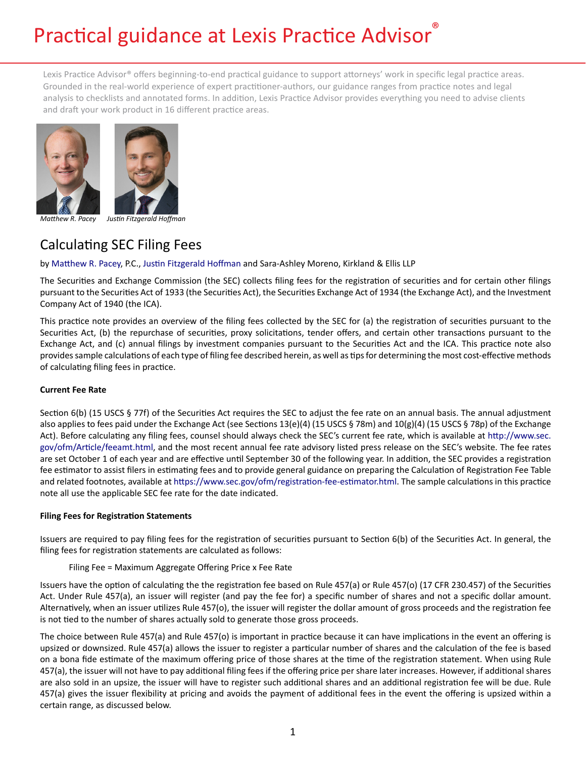# Practical guidance at Lexis Practice Advisor®

Lexis Practice Advisor® offers beginning-to-end practical guidance to support attorneys' work in specific legal practice areas. Grounded in the real-world experience of expert practitioner-authors, our guidance ranges from practice notes and legal analysis to checklists and annotated forms. In addition, Lexis Practice Advisor provides everything you need to advise clients and draft your work product in 16 different practice areas.



*Matthew R. Pacey Justin Fitzgerald Hoffman*

# Calculating SEC Filing Fees

by [Matthew R. Pacey,](https://www.lexisnexis.com/en-us/practice-advisor-authors/profiles/matthew-pacey.page) P.C., [Justin Fitzgerald Hoffman](https://www.lexisnexis.com/en-us/practice-advisor-authors/profiles/justin-hoffman.page) and Sara-Ashley Moreno, Kirkland & Ellis LLP

The Securities and Exchange Commission (the SEC) collects filing fees for the registration of securities and for certain other filings pursuant to the Securities Act of 1933 (the Securities Act), the Securities Exchange Act of 1934 (the Exchange Act), and the Investment Company Act of 1940 (the ICA).

This practice note provides an overview of the filing fees collected by the SEC for (a) the registration of securities pursuant to the Securities Act, (b) the repurchase of securities, proxy solicitations, tender offers, and certain other transactions pursuant to the Exchange Act, and (c) annual filings by investment companies pursuant to the Securities Act and the ICA. This practice note also provides sample calculations of each type of filing fee described herein, as well as tips for determining the most cost-effective methods of calculating filing fees in practice.

# **Current Fee Rate**

Section 6(b) (15 USCS § 77f) of the Securities Act requires the SEC to adjust the fee rate on an annual basis. The annual adjustment also applies to fees paid under the Exchange Act (see Sections 13(e)(4) (15 USCS § 78m) and 10(g)(4) (15 USCS § 78p) of the Exchange Act). Before calculating any filing fees, counsel should always check the SEC's current fee rate, which is available at [http://www.sec.](http://www.sec.gov/ofm/Article/feeamt.html) [gov/ofm/Article/feeamt.html](http://www.sec.gov/ofm/Article/feeamt.html), and the most recent annual fee rate advisory listed press release on the SEC's website. The fee rates are set October 1 of each year and are effective until September 30 of the following year. In addition, the SEC provides a registration fee estimator to assist filers in estimating fees and to provide general guidance on preparing the Calculation of Registration Fee Table and related footnotes, available at [https://www.sec.gov/ofm/registration-fee-estimator.html.](https://www.sec.gov/ofm/registration-fee-estimator.html) The sample calculations in this practice note all use the applicable SEC fee rate for the date indicated.

# **Filing Fees for Registration Statements**

Issuers are required to pay filing fees for the registration of securities pursuant to Section 6(b) of the Securities Act. In general, the filing fees for registration statements are calculated as follows:

# Filing Fee = Maximum Aggregate Offering Price x Fee Rate

Issuers have the option of calculating the the registration fee based on Rule 457(a) or Rule 457(o) (17 CFR 230.457) of the Securities Act. Under Rule 457(a), an issuer will register (and pay the fee for) a specific number of shares and not a specific dollar amount. Alternatively, when an issuer utilizes Rule 457(o), the issuer will register the dollar amount of gross proceeds and the registration fee is not tied to the number of shares actually sold to generate those gross proceeds.

The choice between Rule 457(a) and Rule 457(o) is important in practice because it can have implications in the event an offering is upsized or downsized. Rule 457(a) allows the issuer to register a particular number of shares and the calculation of the fee is based on a bona fide estimate of the maximum offering price of those shares at the time of the registration statement. When using Rule 457(a), the issuer will not have to pay additional filing fees if the offering price per share later increases. However, if additional shares are also sold in an upsize, the issuer will have to register such additional shares and an additional registration fee will be due. Rule 457(a) gives the issuer flexibility at pricing and avoids the payment of additional fees in the event the offering is upsized within a certain range, as discussed below.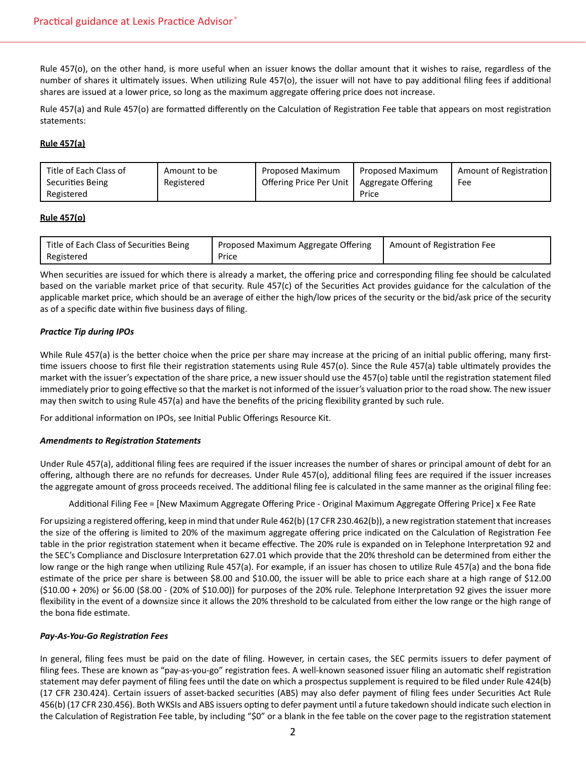Rule 457(o), on the other hand, is more useful when an issuer knows the dollar amount that it wishes to raise, regardless of the number of shares it ultimately issues. When utilizing Rule 457(o), the issuer will not have to pay additional filing fees if additional shares are issued at a lower price, so long as the maximum aggregate offering price does not increase.

Rule 457(a) and Rule 457(o) are formatted differently on the Calculation of Registration Fee table that appears on most registration statements:

#### **Rule 457(a)**

| Title of Each Class of | Amount to be | Proposed Maximum        | Proposed Maximum   | Amount of Registration |
|------------------------|--------------|-------------------------|--------------------|------------------------|
| Securities Being       | Registered   | Offering Price Per Unit | Aggregate Offering | Fee                    |
| Registered             |              |                         | Price              |                        |

#### **Rule 457(o)**

| Title of Each Class of Securities Being | Proposed Maximum Aggregate Offering | Amount of Registration Fee |
|-----------------------------------------|-------------------------------------|----------------------------|
| Registered                              | Price                               |                            |

When securities are issued for which there is already a market, the offering price and corresponding filing fee should be calculated based on the variable market price of that security. Rule 457(c) of the Securities Act provides guidance for the calculation of the applicable market price, which should be an average of either the high/low prices of the security or the bid/ask price of the security as of a specific date within five business days of filing.

# *Practice Tip during IPOs*

While Rule 457(a) is the better choice when the price per share may increase at the pricing of an initial public offering, many firsttime issuers choose to first file their registration statements using Rule 457(o). Since the Rule 457(a) table ultimately provides the market with the issuer's expectation of the share price, a new issuer should use the 457(o) table until the registration statement filed immediately prior to going effective so that the market is not informed of the issuer's valuation prior to the road show. The new issuer may then switch to using Rule 457(a) and have the benefits of the pricing flexibility granted by such rule.

For additional information on IPOs, see Initial Public Offerings Resource Kit.

# *Amendments to Registration Statements*

Under Rule 457(a), additional filing fees are required if the issuer increases the number of shares or principal amount of debt for an offering, although there are no refunds for decreases. Under Rule 457(o), additional filing fees are required if the issuer increases the aggregate amount of gross proceeds received. The additional filing fee is calculated in the same manner as the original filing fee:

Additional Filing Fee = [New Maximum Aggregate Offering Price - Original Maximum Aggregate Offering Price] x Fee Rate

For upsizing a registered offering, keep in mind that under Rule 462(b) (17 CFR 230.462(b)), a new registration statement that increases the size of the offering is limited to 20% of the maximum aggregate offering price indicated on the Calculation of Registration Fee table in the prior registration statement when it became effective. The 20% rule is expanded on in Telephone Interpretation 92 and the SEC's Compliance and Disclosure Interpretation 627.01 which provide that the 20% threshold can be determined from either the low range or the high range when utilizing Rule 457(a). For example, if an issuer has chosen to utilize Rule 457(a) and the bona fide estimate of the price per share is between \$8.00 and \$10.00, the issuer will be able to price each share at a high range of \$12.00 (\$10.00 + 20%) or \$6.00 (\$8.00 - (20% of \$10.00)) for purposes of the 20% rule. Telephone Interpretation 92 gives the issuer more flexibility in the event of a downsize since it allows the 20% threshold to be calculated from either the low range or the high range of the bona fide estimate.

#### *Pay-As-You-Go Registration Fees*

In general, filing fees must be paid on the date of filing. However, in certain cases, the SEC permits issuers to defer payment of filing fees. These are known as "pay-as-you-go" registration fees. A well-known seasoned issuer filing an automatic shelf registration statement may defer payment of filing fees until the date on which a prospectus supplement is required to be filed under Rule 424(b) (17 CFR 230.424). Certain issuers of asset-backed securities (ABS) may also defer payment of filing fees under Securities Act Rule 456(b) (17 CFR 230.456). Both WKSIs and ABS issuers opting to defer payment until a future takedown should indicate such election in the Calculation of Registration Fee table, by including "\$0" or a blank in the fee table on the cover page to the registration statement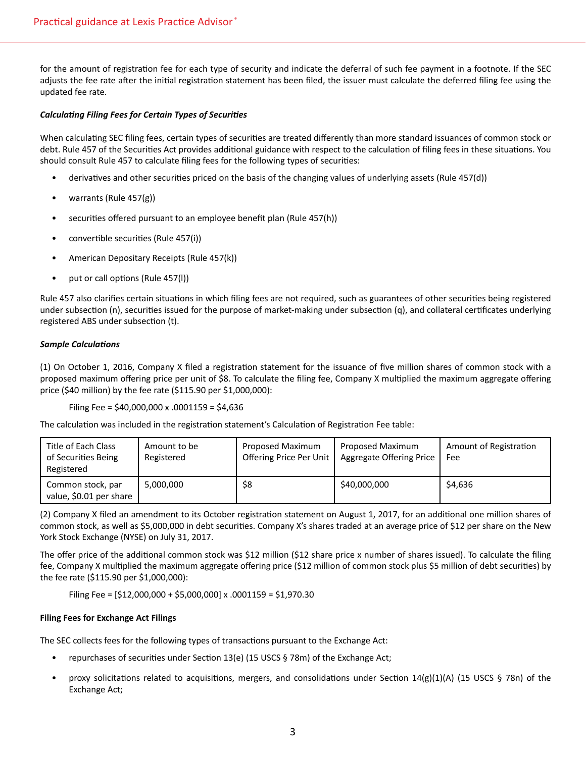for the amount of registration fee for each type of security and indicate the deferral of such fee payment in a footnote. If the SEC adjusts the fee rate after the initial registration statement has been filed, the issuer must calculate the deferred filing fee using the updated fee rate.

# *Calculating Filing Fees for Certain Types of Securities*

When calculating SEC filing fees, certain types of securities are treated differently than more standard issuances of common stock or debt. Rule 457 of the Securities Act provides additional guidance with respect to the calculation of filing fees in these situations. You should consult Rule 457 to calculate filing fees for the following types of securities:

- derivatives and other securities priced on the basis of the changing values of underlying assets (Rule 457(d))
- warrants (Rule 457(g))
- securities offered pursuant to an employee benefit plan (Rule 457(h))
- convertible securities (Rule 457(i))
- American Depositary Receipts (Rule 457(k))
- put or call options (Rule 457(l))

Rule 457 also clarifies certain situations in which filing fees are not required, such as guarantees of other securities being registered under subsection (n), securities issued for the purpose of market-making under subsection (q), and collateral certificates underlying registered ABS under subsection (t).

# *Sample Calculations*

(1) On October 1, 2016, Company X filed a registration statement for the issuance of five million shares of common stock with a proposed maximum offering price per unit of \$8. To calculate the filing fee, Company X multiplied the maximum aggregate offering price (\$40 million) by the fee rate (\$115.90 per \$1,000,000):

```
Filing Fee = $40,000,000 x .0001159 = $4,636
```
The calculation was included in the registration statement's Calculation of Registration Fee table:

| Title of Each Class<br>of Securities Being<br>Registered | Amount to be<br>Registered | Proposed Maximum<br>Offering Price Per Unit | Proposed Maximum<br><b>Aggregate Offering Price</b> | Amount of Registration<br>Fee |
|----------------------------------------------------------|----------------------------|---------------------------------------------|-----------------------------------------------------|-------------------------------|
| Common stock, par<br>value, \$0.01 per share             | 5,000,000                  | \$8                                         | \$40,000,000                                        | \$4,636                       |

(2) Company X filed an amendment to its October registration statement on August 1, 2017, for an additional one million shares of common stock, as well as \$5,000,000 in debt securities. Company X's shares traded at an average price of \$12 per share on the New York Stock Exchange (NYSE) on July 31, 2017.

The offer price of the additional common stock was \$12 million (\$12 share price x number of shares issued). To calculate the filing fee, Company X multiplied the maximum aggregate offering price (\$12 million of common stock plus \$5 million of debt securities) by the fee rate (\$115.90 per \$1,000,000):

Filing Fee = [\$12,000,000 + \$5,000,000] x .0001159 = \$1,970.30

# **Filing Fees for Exchange Act Filings**

The SEC collects fees for the following types of transactions pursuant to the Exchange Act:

- repurchases of securities under Section 13(e) (15 USCS § 78m) of the Exchange Act;
- proxy solicitations related to acquisitions, mergers, and consolidations under Section  $14(g)(1)(A)$  (15 USCS § 78n) of the Exchange Act;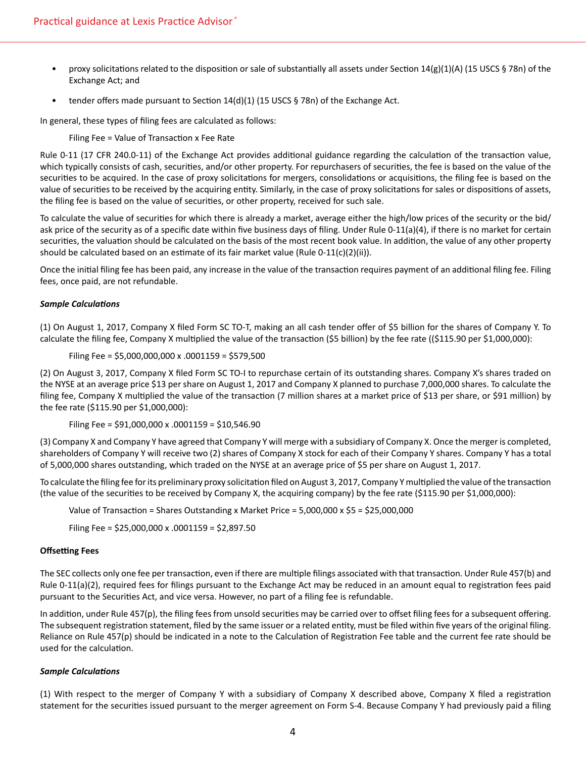- proxy solicitations related to the disposition or sale of substantially all assets under Section  $14(g)(1)(A)$  (15 USCS § 78n) of the Exchange Act; and
- tender offers made pursuant to Section  $14(d)(1)$  (15 USCS § 78n) of the Exchange Act.

In general, these types of filing fees are calculated as follows:

Filing Fee = Value of Transaction x Fee Rate

Rule 0-11 (17 CFR 240.0-11) of the Exchange Act provides additional guidance regarding the calculation of the transaction value, which typically consists of cash, securities, and/or other property. For repurchasers of securities, the fee is based on the value of the securities to be acquired. In the case of proxy solicitations for mergers, consolidations or acquisitions, the filing fee is based on the value of securities to be received by the acquiring entity. Similarly, in the case of proxy solicitations for sales or dispositions of assets, the filing fee is based on the value of securities, or other property, received for such sale.

To calculate the value of securities for which there is already a market, average either the high/low prices of the security or the bid/ ask price of the security as of a specific date within five business days of filing. Under Rule 0-11(a)(4), if there is no market for certain securities, the valuation should be calculated on the basis of the most recent book value. In addition, the value of any other property should be calculated based on an estimate of its fair market value (Rule 0-11(c)(2)(ii)).

Once the initial filing fee has been paid, any increase in the value of the transaction requires payment of an additional filing fee. Filing fees, once paid, are not refundable.

#### *Sample Calculations*

(1) On August 1, 2017, Company X filed Form SC TO-T, making an all cash tender offer of \$5 billion for the shares of Company Y. To calculate the filing fee, Company X multiplied the value of the transaction (\$5 billion) by the fee rate ((\$115.90 per \$1,000,000):

Filing Fee = \$5,000,000,000 x .0001159 = \$579,500

(2) On August 3, 2017, Company X filed Form SC TO-I to repurchase certain of its outstanding shares. Company X's shares traded on the NYSE at an average price \$13 per share on August 1, 2017 and Company X planned to purchase 7,000,000 shares. To calculate the filing fee, Company X multiplied the value of the transaction (7 million shares at a market price of \$13 per share, or \$91 million) by the fee rate (\$115.90 per \$1,000,000):

Filing Fee = \$91,000,000 x .0001159 = \$10,546.90

(3) Company X and Company Y have agreed that Company Y will merge with a subsidiary of Company X. Once the merger is completed, shareholders of Company Y will receive two (2) shares of Company X stock for each of their Company Y shares. Company Y has a total of 5,000,000 shares outstanding, which traded on the NYSE at an average price of \$5 per share on August 1, 2017.

To calculate the filing fee for its preliminary proxy solicitation filed on August 3, 2017, Company Y multiplied the value of the transaction (the value of the securities to be received by Company X, the acquiring company) by the fee rate (\$115.90 per \$1,000,000):

Value of Transaction = Shares Outstanding x Market Price =  $5,000,000 \times $5 = $25,000,000$ 

Filing Fee = \$25,000,000 x .0001159 = \$2,897.50

#### **Offsetting Fees**

The SEC collects only one fee per transaction, even if there are multiple filings associated with that transaction. Under Rule 457(b) and Rule 0-11(a)(2), required fees for filings pursuant to the Exchange Act may be reduced in an amount equal to registration fees paid pursuant to the Securities Act, and vice versa. However, no part of a filing fee is refundable.

In addition, under Rule 457(p), the filing fees from unsold securities may be carried over to offset filing fees for a subsequent offering. The subsequent registration statement, filed by the same issuer or a related entity, must be filed within five years of the original filing. Reliance on Rule 457(p) should be indicated in a note to the Calculation of Registration Fee table and the current fee rate should be used for the calculation.

#### *Sample Calculations*

(1) With respect to the merger of Company Y with a subsidiary of Company X described above, Company X filed a registration statement for the securities issued pursuant to the merger agreement on Form S-4. Because Company Y had previously paid a filing